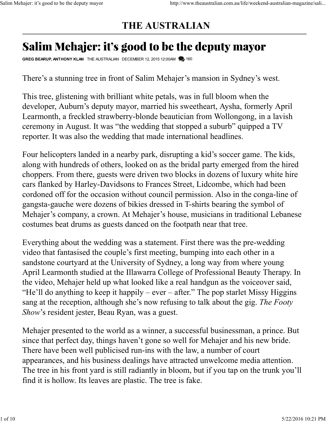## THE AUSTRALIAN Salim Mehajer: it's good to be the deputy mayor http://www.theaustralian.com.au/life/weekend-australian-magazine/sali...<br>THE AUSTRALIAN

## Injer: it's good to be the deputy mayor<br> **FHE AUSTRALIAN**<br> **Salim Mehajer: it's good to be the deputy mayor**<br>
GREG BEARUP, ANTHONY KLAN THE AUSTRALIAN DECEMBER 12, 2015 12:00AM 1600<br>
There's a stunning tree in front of Sal

There's a stunning tree in front of Salim Mehajer's mansion in Sydney's west.

This tree, glistening with brilliant white petals, was in full bloom when the developer, Auburn's deputy mayor, married his sweetheart, Aysha, formerly April Learmonth, a freckled strawberry-blonde beautician from Wollongong, in a lavish ceremony in August. It was "the wedding that stopped a suburb" quipped a TV reporter. It was also the wedding that made international headlines.

Four helicopters landed in a nearby park, disrupting a kid's soccer game. The kids, along with hundreds of others, looked on as the bridal party emerged from the hired choppers. From there, guests were driven two blocks in dozens of luxury white hire cars flanked by Harley-Davidsons to Frances Street, Lidcombe, which had been cordoned off for the occasion without council permission. Also in the conga-line of gangsta-gauche were dozens of bikies dressed in T-shirts bearing the symbol of Mehajer's company, a crown. At Mehajer's house, musicians in traditional Lebanese costumes beat drums as guests danced on the footpath near that tree.

Everything about the wedding was a statement. First there was the pre-wedding video that fantasised the couple's first meeting, bumping into each other in a sandstone courtyard at the University of Sydney, a long way from where young April Learmonth studied at the Illawarra College of Professional Beauty Therapy. In the video, Mehajer held up what looked like a real handgun as the voiceover said, "He'll do anything to keep it happily – ever – after." The pop starlet Missy Higgins sang at the reception, although she's now refusing to talk about the gig. The Footy Show's resident jester, Beau Ryan, was a guest.

Mehajer presented to the world as a winner, a successful businessman, a prince. But since that perfect day, things haven't gone so well for Mehajer and his new bride. There have been well publicised run-ins with the law, a number of court appearances, and his business dealings have attracted unwelcome media attention. The tree in his front yard is still radiantly in bloom, but if you tap on the trunk you'll find it is hollow. Its leaves are plastic. The tree is fake. the video, Mehajer held up what looked like a real handgun as the voiceover said,<br>
"He'll do anything to keep it happily – ever – after." The pop starlet Missy Higgins<br>
sang at the reception, although she's now refusing t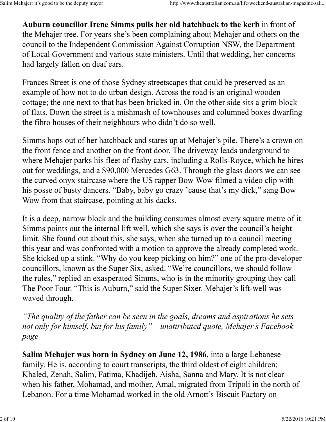Auburn councillor Irene Simms pulls her old hatchback to the kerb in front of the Mehajer tree. For years she's been complaining about Mehajer and others on the council to the Independent Commission Against Corruption NSW, the Department of Local Government and various state ministers. Until that wedding, her concerns had largely fallen on deaf ears. Salim Mehajer: it's good to be the deputy mayor<br>http://www.theaustralian.com.au/life/weekend-australian-magazine/sali...<br>**Auburn councillor Irene Simms pulls her old hatchback to the kerb** in front of<br>the Mehajer tree. For

Frances Street is one of those Sydney streetscapes that could be preserved as an example of how not to do urban design. Across the road is an original wooden cottage; the one next to that has been bricked in. On the other side sits a grim block of flats. Down the street is a mishmash of townhouses and columned boxes dwarfing the fibro houses of their neighbours who didn't do so well.

Simms hops out of her hatchback and stares up at Mehajer's pile. There's a crown on the front fence and another on the front door. The driveway leads underground to where Mehajer parks his fleet of flashy cars, including a Rolls-Royce, which he hires out for weddings, and a \$90,000 Mercedes G63. Through the glass doors we can see the curved onyx staircase where the US rapper Bow Wow filmed a video clip with his posse of busty dancers. "Baby, baby go crazy 'cause that's my dick," sang Bow Wow from that staircase, pointing at his dacks.

It is a deep, narrow block and the building consumes almost every square metre of it. Simms points out the internal lift well, which she says is over the council's height limit. She found out about this, she says, when she turned up to a council meeting this year and was confronted with a motion to approve the already completed work. She kicked up a stink. "Why do you keep picking on him?" one of the pro-developer councillors, known as the Super Six, asked. "We're councillors, we should follow the rules," replied an exasperated Simms, who is in the minority grouping they call The Poor Four. "This is Auburn," said the Super Sixer. Mehajer's lift-well was waved through.

"The quality of the father can be seen in the goals, dreams and aspirations he sets not only for himself, but for his family" – unattributed quote, Mehajer's Facebook page

Salim Mehajer was born in Sydney on June 12, 1986, into a large Lebanese family. He is, according to court transcripts, the third oldest of eight children; Khaled, Zenah, Salim, Fatima, Khadijeh, Aisha, Sanna and Mary. It is not clear when his father, Mohamad, and mother, Amal, migrated from Tripoli in the north of Lebanon. For a time Mohamad worked in the old Arnott's Biscuit Factory on The Poor Four. "This is Auburn," said the Super Sixer. Mehajer's lift-well was<br>waved through.<br>"The quality of the father can be seen in the goals, dreams and aspirations he sets<br>not only for himself, but for his family" –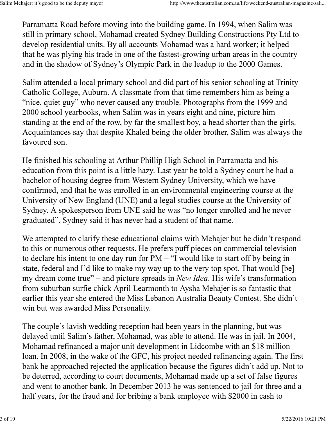Parramatta Road before moving into the building game. In 1994, when Salim was still in primary school, Mohamad created Sydney Building Constructions Pty Ltd to develop residential units. By all accounts Mohamad was a hard worker; it helped that he was plying his trade in one of the fastest-growing urban areas in the country and in the shadow of Sydney's Olympic Park in the leadup to the 2000 Games. Salim Mehajer: it's good to be the deputy mayor<br>http://www.theaustralian.com.au/life/weekend-australian-magazine/sali...<br>Parramatta Road before moving into the building game. In 1994, when Salim was<br>still in primary school

Salim attended a local primary school and did part of his senior schooling at Trinity Catholic College, Auburn. A classmate from that time remembers him as being a "nice, quiet guy" who never caused any trouble. Photographs from the 1999 and 2000 school yearbooks, when Salim was in years eight and nine, picture him standing at the end of the row, by far the smallest boy, a head shorter than the girls. Acquaintances say that despite Khaled being the older brother, Salim was always the favoured son.

He finished his schooling at Arthur Phillip High School in Parramatta and his education from this point is a little hazy. Last year he told a Sydney court he had a bachelor of housing degree from Western Sydney University, which we have confirmed, and that he was enrolled in an environmental engineering course at the University of New England (UNE) and a legal studies course at the University of Sydney. A spokesperson from UNE said he was "no longer enrolled and he never graduated". Sydney said it has never had a student of that name.

We attempted to clarify these educational claims with Mehajer but he didn't respond to this or numerous other requests. He prefers puff pieces on commercial television to declare his intent to one day run for PM – "I would like to start off by being in state, federal and I'd like to make my way up to the very top spot. That would [be] my dream come true" – and picture spreads in *New Idea*. His wife's transformation from suburban surfie chick April Learmonth to Aysha Mehajer is so fantastic that earlier this year she entered the Miss Lebanon Australia Beauty Contest. She didn't win but was awarded Miss Personality.

The couple's lavish wedding reception had been years in the planning, but was delayed until Salim's father, Mohamad, was able to attend. He was in jail. In 2004, Mohamad refinanced a major unit development in Lidcombe with an \$18 million loan. In 2008, in the wake of the GFC, his project needed refinancing again. The first bank he approached rejected the application because the figures didn't add up. Not to be deterred, according to court documents, Mohamad made up a set of false figures and went to another bank. In December 2013 he was sentenced to jail for three and a half years, for the fraud and for bribing a bank employee with \$2000 in cash to 2000 from suburban surfie chick April Learmonth to Aysha Mehajer is so fantastic that<br>
searlier this year she entered the Miss Lebanon Australia Beauty Contest. She didn't<br>
win but was awarded Miss Personality.<br>
The couple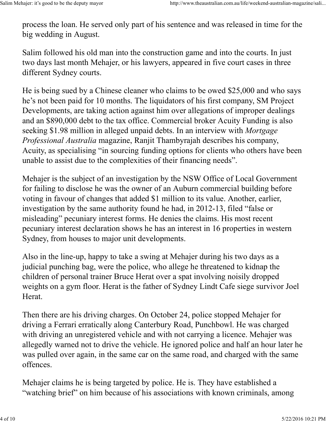process the loan. He served only part of his sentence and was released in time for the big wedding in August. Salim Mehajer: it's good to be the deputy mayor http://www.theaustralian.com.au/life/weekend-australian-magazine/sali...<br>process the loan. He served only part of his sentence and was released in time for the<br>big wedding in

Salim followed his old man into the construction game and into the courts. In just two days last month Mehajer, or his lawyers, appeared in five court cases in three different Sydney courts.

He is being sued by a Chinese cleaner who claims to be owed \$25,000 and who says he's not been paid for 10 months. The liquidators of his first company, SM Project Developments, are taking action against him over allegations of improper dealings and an \$890,000 debt to the tax office. Commercial broker Acuity Funding is also seeking \$1.98 million in alleged unpaid debts. In an interview with Mortgage Professional Australia magazine, Ranjit Thambyrajah describes his company, Acuity, as specialising "in sourcing funding options for clients who others have been unable to assist due to the complexities of their financing needs".

Mehajer is the subject of an investigation by the NSW Office of Local Government for failing to disclose he was the owner of an Auburn commercial building before voting in favour of changes that added \$1 million to its value. Another, earlier, investigation by the same authority found he had, in 2012-13, filed "false or misleading" pecuniary interest forms. He denies the claims. His most recent pecuniary interest declaration shows he has an interest in 16 properties in western Sydney, from houses to major unit developments.

Also in the line-up, happy to take a swing at Mehajer during his two days as a judicial punching bag, were the police, who allege he threatened to kidnap the children of personal trainer Bruce Herat over a spat involving noisily dropped weights on a gym floor. Herat is the father of Sydney Lindt Cafe siege survivor Joel Herat.

Then there are his driving charges. On October 24, police stopped Mehajer for driving a Ferrari erratically along Canterbury Road, Punchbowl. He was charged with driving an unregistered vehicle and with not carrying a licence. Mehajer was allegedly warned not to drive the vehicle. He ignored police and half an hour later he was pulled over again, in the same car on the same road, and charged with the same offences. weights on a gym floor. Herat is the father of Sydney Lindt Cafe siege survivor Joel<br>Herat.<br>Then there are his driving charges. On October 24, police stopped Mehajer for<br>driving a Ferrari erratically along Canterbury Road,

Mehajer claims he is being targeted by police. He is. They have established a "watching brief" on him because of his associations with known criminals, among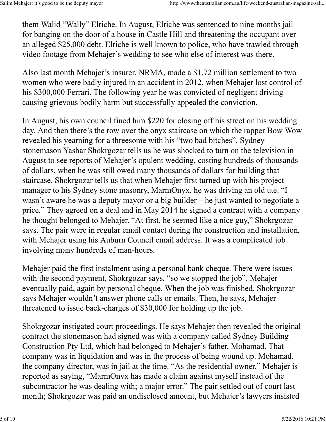them Walid "Wally" Elriche. In August, Elriche was sentenced to nine months jail for banging on the door of a house in Castle Hill and threatening the occupant over an alleged \$25,000 debt. Elriche is well known to police, who have trawled through video footage from Mehajer's wedding to see who else of interest was there. Salim Mehajer: it's good to be the deputy mayor<br>them Walid "Wally" Elriche. In August, Elriche was sentenced to nine months jail<br>for banging on the door of a house in Castle Hill and threatening the occupant over

Also last month Mehajer's insurer, NRMA, made a \$1.72 million settlement to two women who were badly injured in an accident in 2012, when Mehajer lost control of his \$300,000 Ferrari. The following year he was convicted of negligent driving causing grievous bodily harm but successfully appealed the conviction.

In August, his own council fined him \$220 for closing off his street on his wedding day. And then there's the row over the onyx staircase on which the rapper Bow Wow revealed his yearning for a threesome with his "two bad bitches". Sydney stonemason Yashar Shokrgozar tells us he was shocked to turn on the television in August to see reports of Mehajer's opulent wedding, costing hundreds of thousands of dollars, when he was still owed many thousands of dollars for building that staircase. Shokrgozar tells us that when Mehajer first turned up with his project manager to his Sydney stone masonry, MarmOnyx, he was driving an old ute. "I wasn't aware he was a deputy mayor or a big builder – he just wanted to negotiate a price." They agreed on a deal and in May 2014 he signed a contract with a company he thought belonged to Mehajer. "At first, he seemed like a nice guy," Shokrgozar says. The pair were in regular email contact during the construction and installation, with Mehajer using his Auburn Council email address. It was a complicated job involving many hundreds of man-hours.

Mehajer paid the first instalment using a personal bank cheque. There were issues with the second payment, Shokrgozar says, "so we stopped the job". Mehajer eventually paid, again by personal cheque. When the job was finished, Shokrgozar says Mehajer wouldn't answer phone calls or emails. Then, he says, Mehajer threatened to issue back-charges of \$30,000 for holding up the job.

Shokrgozar instigated court proceedings. He says Mehajer then revealed the original contract the stonemason had signed was with a company called Sydney Building Construction Pty Ltd, which had belonged to Mehajer's father, Mohamad. That company was in liquidation and was in the process of being wound up. Mohamad, the company director, was in jail at the time. "As the residential owner," Mehajer is reported as saying, "MarmOnyx has made a claim against myself instead of the subcontractor he was dealing with; a major error." The pair settled out of court last month; Shokrgozar was paid an undisclosed amount, but Mehajer's lawyers insisted From the profession by personal cheque. When the job was finished, Shokrgozar<br>eventually paid, again by personal cheque. When the job was finished, Shokrgozar<br>says Mehajer wouldn't answer phone calls or emails. Then, he sa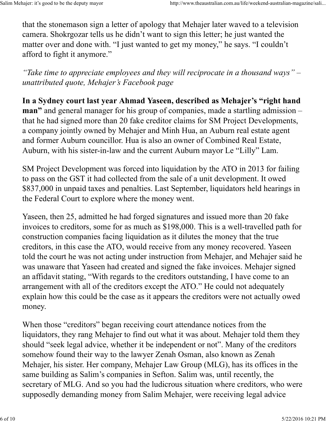that the stonemason sign a letter of apology that Mehajer later waved to a television camera. Shokrgozar tells us he didn't want to sign this letter; he just wanted the matter over and done with. "I just wanted to get my money," he says. "I couldn't afford to fight it anymore." Salim Mehajer: it's good to be the deputy mayor<br>that the stonemason sign a letter of apology that Mehajer later waved to a television<br>camera. Shokrgozar tells us he didn't want to sign this letter; he just wanted the

"Take time to appreciate employees and they will reciprocate in a thousand ways"  $$ unattributed quote, Mehajer's Facebook page

In a Sydney court last year Ahmad Yaseen, described as Mehajer's "right hand man" and general manager for his group of companies, made a startling admission – that he had signed more than 20 fake creditor claims for SM Project Developments, a company jointly owned by Mehajer and Minh Hua, an Auburn real estate agent and former Auburn councillor. Hua is also an owner of Combined Real Estate, Auburn, with his sister-in-law and the current Auburn mayor Le "Lilly" Lam.

SM Project Development was forced into liquidation by the ATO in 2013 for failing to pass on the GST it had collected from the sale of a unit development. It owed \$837,000 in unpaid taxes and penalties. Last September, liquidators held hearings in the Federal Court to explore where the money went.

Yaseen, then 25, admitted he had forged signatures and issued more than 20 fake invoices to creditors, some for as much as \$198,000. This is a well-travelled path for construction companies facing liquidation as it dilutes the money that the true creditors, in this case the ATO, would receive from any money recovered. Yaseen told the court he was not acting under instruction from Mehajer, and Mehajer said he was unaware that Yaseen had created and signed the fake invoices. Mehajer signed an affidavit stating, "With regards to the creditors outstanding, I have come to an arrangement with all of the creditors except the ATO." He could not adequately explain how this could be the case as it appears the creditors were not actually owed money.

When those "creditors" began receiving court attendance notices from the liquidators, they rang Mehajer to find out what it was about. Mehajer told them they should "seek legal advice, whether it be independent or not". Many of the creditors somehow found their way to the lawyer Zenah Osman, also known as Zenah Mehajer, his sister. Her company, Mehajer Law Group (MLG), has its offices in the same building as Salim's companies in Sefton. Salim was, until recently, the secretary of MLG. And so you had the ludicrous situation where creditors, who were supposedly demanding money from Salim Mehajer, were receiving legal advice arrangement with all of the creditors except the ATO." He could not adequately<br>explain how this could be the case as it appears the creditors were not actually owed<br>money.<br>When those "creditors" began receiving court atten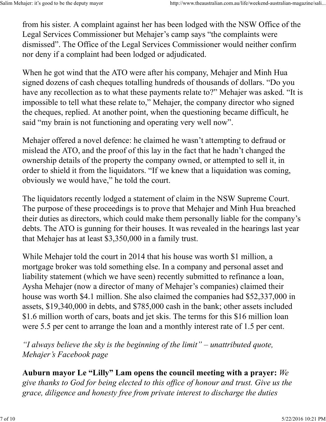from his sister. A complaint against her has been lodged with the NSW Office of the Legal Services Commissioner but Mehajer's camp says "the complaints were dismissed". The Office of the Legal Services Commissioner would neither confirm nor deny if a complaint had been lodged or adjudicated. Salim Mehajer: it's good to be the deputy mayor<br>
from his sister. A complaint against her has been lodged with the NSW Office of the<br>
Legal Services Commissioner but Mehajer's camp says "the complaints were

When he got wind that the ATO were after his company, Mehajer and Minh Hua signed dozens of cash cheques totalling hundreds of thousands of dollars. "Do you have any recollection as to what these payments relate to?" Mehajer was asked. "It is impossible to tell what these relate to," Mehajer, the company director who signed the cheques, replied. At another point, when the questioning became difficult, he said "my brain is not functioning and operating very well now".

Mehajer offered a novel defence: he claimed he wasn't attempting to defraud or mislead the ATO, and the proof of this lay in the fact that he hadn't changed the ownership details of the property the company owned, or attempted to sell it, in order to shield it from the liquidators. "If we knew that a liquidation was coming, obviously we would have," he told the court.

The liquidators recently lodged a statement of claim in the NSW Supreme Court. The purpose of these proceedings is to prove that Mehajer and Minh Hua breached their duties as directors, which could make them personally liable for the company's debts. The ATO is gunning for their houses. It was revealed in the hearings last year that Mehajer has at least \$3,350,000 in a family trust.

While Mehajer told the court in 2014 that his house was worth \$1 million, a mortgage broker was told something else. In a company and personal asset and liability statement (which we have seen) recently submitted to refinance a loan, Aysha Mehajer (now a director of many of Mehajer's companies) claimed their house was worth \$4.1 million. She also claimed the companies had \$52,337,000 in assets, \$19,340,000 in debts, and \$785,000 cash in the bank; other assets included \$1.6 million worth of cars, boats and jet skis. The terms for this \$16 million loan were 5.5 per cent to arrange the loan and a monthly interest rate of 1.5 per cent. Aysha Mehajer (now a director of many of Mehajer's companies) claimed their<br>house was worth \$4.1 million. She also claimed the companies had \$52,337,000 in<br>assets, \$19,340,000 in debts, and \$785,000 cash in the bank; othe

"I always believe the sky is the beginning of the limit" – unattributed quote, Mehajer's Facebook page

Auburn mayor Le "Lilly" Lam opens the council meeting with a prayer: We give thanks to God for being elected to this office of honour and trust. Give us the grace, diligence and honesty free from private interest to discharge the duties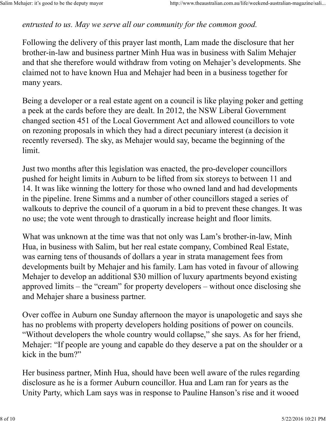entrusted to us. May we serve all our community for the common good. Salim Mehajer: it's good to be the deputy mayor http://www.theaustralian.com.au/life/weekend-australian-magazine/sali...<br>entrusted to us. May we serve all our community for the common good.

Following the delivery of this prayer last month, Lam made the disclosure that her brother-in-law and business partner Minh Hua was in business with Salim Mehajer and that she therefore would withdraw from voting on Mehajer's developments. She claimed not to have known Hua and Mehajer had been in a business together for many years.

Being a developer or a real estate agent on a council is like playing poker and getting a peek at the cards before they are dealt. In 2012, the NSW Liberal Government changed section 451 of the Local Government Act and allowed councillors to vote on rezoning proposals in which they had a direct pecuniary interest (a decision it recently reversed). The sky, as Mehajer would say, became the beginning of the limit.

Just two months after this legislation was enacted, the pro-developer councillors pushed for height limits in Auburn to be lifted from six storeys to between 11 and 14. It was like winning the lottery for those who owned land and had developments in the pipeline. Irene Simms and a number of other councillors staged a series of walkouts to deprive the council of a quorum in a bid to prevent these changes. It was no use; the vote went through to drastically increase height and floor limits.

What was unknown at the time was that not only was Lam's brother-in-law, Minh Hua, in business with Salim, but her real estate company, Combined Real Estate, was earning tens of thousands of dollars a year in strata management fees from developments built by Mehajer and his family. Lam has voted in favour of allowing Mehajer to develop an additional \$30 million of luxury apartments beyond existing approved limits – the "cream" for property developers – without once disclosing she and Mehajer share a business partner.

Over coffee in Auburn one Sunday afternoon the mayor is unapologetic and says she has no problems with property developers holding positions of power on councils. "Without developers the whole country would collapse," she says. As for her friend, Mehajer: "If people are young and capable do they deserve a pat on the shoulder or a kick in the bum?" approved limits – the "cream" for property developers – without once disclosing she<br>and Mehajer share a business partner.<br>Over coffee in Auburn one Sunday afternoon the mayor is unapologetic and says she<br>has no problems wi

Her business partner, Minh Hua, should have been well aware of the rules regarding disclosure as he is a former Auburn councillor. Hua and Lam ran for years as the Unity Party, which Lam says was in response to Pauline Hanson's rise and it wooed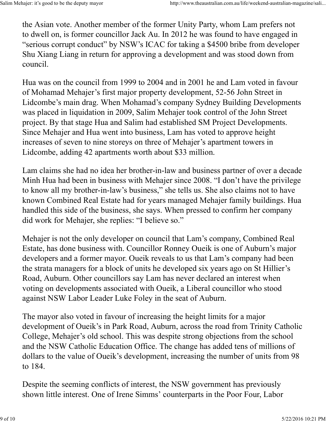the Asian vote. Another member of the former Unity Party, whom Lam prefers not to dwell on, is former councillor Jack Au. In 2012 he was found to have engaged in "serious corrupt conduct" by NSW's ICAC for taking a \$4500 bribe from developer Shu Xiang Liang in return for approving a development and was stood down from council. Salim Mehajer: it's good to be the deputy mayor<br>the Asian vote. Another member of the former Unity Party, whom Lam prefers not<br>to dwell on, is former councillor Jack Au. In 2012 he was found to have engaged in

Hua was on the council from 1999 to 2004 and in 2001 he and Lam voted in favour of Mohamad Mehajer's first major property development, 52-56 John Street in Lidcombe's main drag. When Mohamad's company Sydney Building Developments was placed in liquidation in 2009, Salim Mehajer took control of the John Street project. By that stage Hua and Salim had established SM Project Developments. Since Mehajer and Hua went into business, Lam has voted to approve height increases of seven to nine storeys on three of Mehajer's apartment towers in Lidcombe, adding 42 apartments worth about \$33 million.

Lam claims she had no idea her brother-in-law and business partner of over a decade Minh Hua had been in business with Mehajer since 2008. "I don't have the privilege to know all my brother-in-law's business," she tells us. She also claims not to have known Combined Real Estate had for years managed Mehajer family buildings. Hua handled this side of the business, she says. When pressed to confirm her company did work for Mehajer, she replies: "I believe so."

Mehajer is not the only developer on council that Lam's company, Combined Real Estate, has done business with. Councillor Ronney Oueik is one of Auburn's major developers and a former mayor. Oueik reveals to us that Lam's company had been the strata managers for a block of units he developed six years ago on St Hillier's Road, Auburn. Other councillors say Lam has never declared an interest when voting on developments associated with Oueik, a Liberal councillor who stood against NSW Labor Leader Luke Foley in the seat of Auburn.

The mayor also voted in favour of increasing the height limits for a major development of Oueik's in Park Road, Auburn, across the road from Trinity Catholic College, Mehajer's old school. This was despite strong objections from the school and the NSW Catholic Education Office. The change has added tens of millions of dollars to the value of Oueik's development, increasing the number of units from 98 to 184. From the subsect of the Same Table and Table and Table and Table and Table and Table and Same Table and Same Table and Same Table and Same Table and Same Table and Same Table and Same Table and Same Table 2016 10:21 PM dev

Despite the seeming conflicts of interest, the NSW government has previously shown little interest. One of Irene Simms' counterparts in the Poor Four, Labor